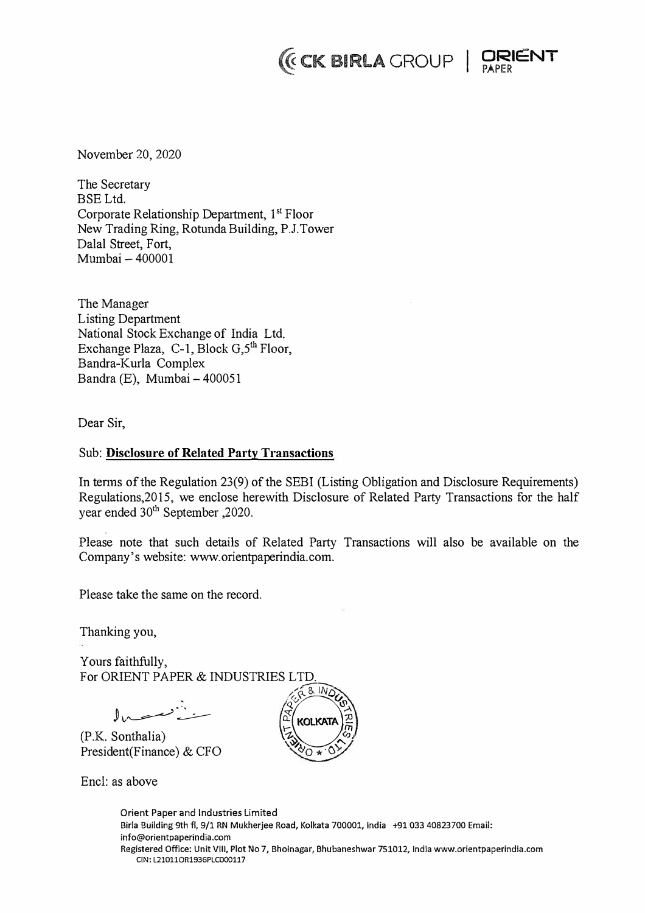# $($ **CK BIRLA** GROUP | **QRIENT**



November 20, 2020

The Secretary BSELtd. Corporate Relationship Department, 1 st Floor New Trading Ring, Rotunda Building, P.J.Tower Dalal Street, Fort, Mumbai - 400001

The Manager Listing Department National Stock Exchange of India Ltd. Exchange Plaza, C-1, Block  $G_2^{\text{th}}$  Floor, Bandra-Kurla Complex Bandra (E), Mumbai- 400051

Dear Sir,

## Sub: **Disclosure of Related Party Transactions**

In tenns of the Regulation 23(9) of the SEBI (Listing Obligation and Disclosure Requirements) Regulations,2015, we enclose herewith Disclosure of Related Party Transactions for the half year ended 30<sup>th</sup> September , 2020.

Please note that such details of Related Party Transactions will also be available on the Company's website: www.orientpaperindia.com.

Please take the same on the record.

Thanking you,

Yours faithfully, For ORIENT PAPER & INDUSTRIES LTD.

 $\mathbb{J}_{\mathbb{N}}$ 

(P.K. Sonthalia) President(Finance) & CFO

Encl: as above



Orient Paper and Industries Limited Birla Building 9th fl, 9/1 RN Mukherjee Road, Kolkata 700001, India +91 033 40823700 Email: **info@orientpaperindia.com Registered Office: Unit VIII, Plot No 7, Bhoinagar, Bhubaneshwar 751012, India www.orientpaperindia.com CIN: L210110R1936PLC000117**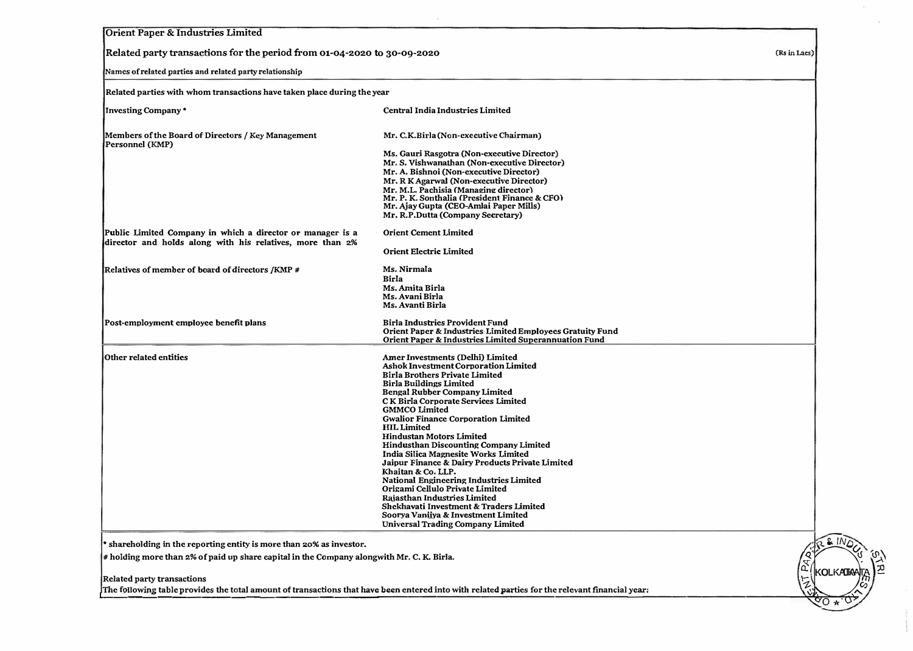| Orient Paper & Industries Limited                                                                                       |                                                                                                                                                                                                                                                                                                                                                                                                                                                                                                                                                                                                                                                                                                                                                                                        |              |  |  |
|-------------------------------------------------------------------------------------------------------------------------|----------------------------------------------------------------------------------------------------------------------------------------------------------------------------------------------------------------------------------------------------------------------------------------------------------------------------------------------------------------------------------------------------------------------------------------------------------------------------------------------------------------------------------------------------------------------------------------------------------------------------------------------------------------------------------------------------------------------------------------------------------------------------------------|--------------|--|--|
| Related party transactions for the period from 01-04-2020 to 30-09-2020                                                 |                                                                                                                                                                                                                                                                                                                                                                                                                                                                                                                                                                                                                                                                                                                                                                                        | (Rs in Lacs) |  |  |
| Names of related parties and related party relationship                                                                 |                                                                                                                                                                                                                                                                                                                                                                                                                                                                                                                                                                                                                                                                                                                                                                                        |              |  |  |
| Related parties with whom transactions have taken place during the year                                                 |                                                                                                                                                                                                                                                                                                                                                                                                                                                                                                                                                                                                                                                                                                                                                                                        |              |  |  |
| <b>Investing Company*</b>                                                                                               | Central India Industries Limited                                                                                                                                                                                                                                                                                                                                                                                                                                                                                                                                                                                                                                                                                                                                                       |              |  |  |
| Members of the Board of Directors / Key Management<br>Personnel (KMP)                                                   | Mr. C.K.Birla (Non-executive Chairman)                                                                                                                                                                                                                                                                                                                                                                                                                                                                                                                                                                                                                                                                                                                                                 |              |  |  |
|                                                                                                                         | Ms. Gauri Rasgotra (Non-executive Director)<br>Mr. S. Vishwanathan (Non-executive Director)<br>Mr. A. Bishnoi (Non-executive Director)<br>Mr. R K Agarwal (Non-executive Director)<br>Mr. M.L. Pachisia (Managing director)<br>Mr. P. K. Sonthalia (President Finance & CFO)<br>Mr. Ajay Gupta (CEO-Amlai Paper Mills)<br>Mr. R.P.Dutta (Company Secretary)                                                                                                                                                                                                                                                                                                                                                                                                                            |              |  |  |
| Public Limited Company in which a director or manager is a<br>director and holds along with his relatives, more than 2% | <b>Orient Cement Limited</b><br><b>Orient Electric Limited</b>                                                                                                                                                                                                                                                                                                                                                                                                                                                                                                                                                                                                                                                                                                                         |              |  |  |
| Relatives of member of board of directors /KMP #                                                                        | Ms. Nirmala<br>Birla<br>Ms. Amita Birla<br>Ms. Avani Birla<br>Ms. Avanti Birla                                                                                                                                                                                                                                                                                                                                                                                                                                                                                                                                                                                                                                                                                                         |              |  |  |
| Post-employment employee benefit plans                                                                                  | <b>Birla Industries Provident Fund</b><br>Orient Paper & Industries Limited Employees Gratuity Fund<br>Orient Paper & Industries Limited Superannuation Fund                                                                                                                                                                                                                                                                                                                                                                                                                                                                                                                                                                                                                           |              |  |  |
| Other related entities                                                                                                  | Amer Investments (Delhi) Limited<br>Ashok Investment Corporation Limited<br><b>Birla Brothers Private Limited</b><br><b>Birla Buildings Limited</b><br><b>Bengal Rubber Company Limited</b><br>CK Birla Corporate Services Limited<br><b>GMMCO</b> Limited<br><b>Gwalior Finance Corporation Limited</b><br><b>HIL Limited</b><br><b>Hindustan Motors Limited</b><br><b>Hindusthan Discounting Company Limited</b><br>India Silica Magnesite Works Limited<br>Jaipur Finance & Dairy Products Private Limited<br>Khaitan & Co. LLP.<br><b>National Engineering Industries Limited</b><br>Origami Cellulo Private Limited<br>Rajasthan Industries Limited<br>Shekhavati Investment & Traders Limited<br>Soorya Vanijya & Investment Limited<br><b>Universal Trading Company Limited</b> |              |  |  |

Related party transactions<br>The following table provides the total amount of transactions that have been entered into with related parties for the relevant financial year:

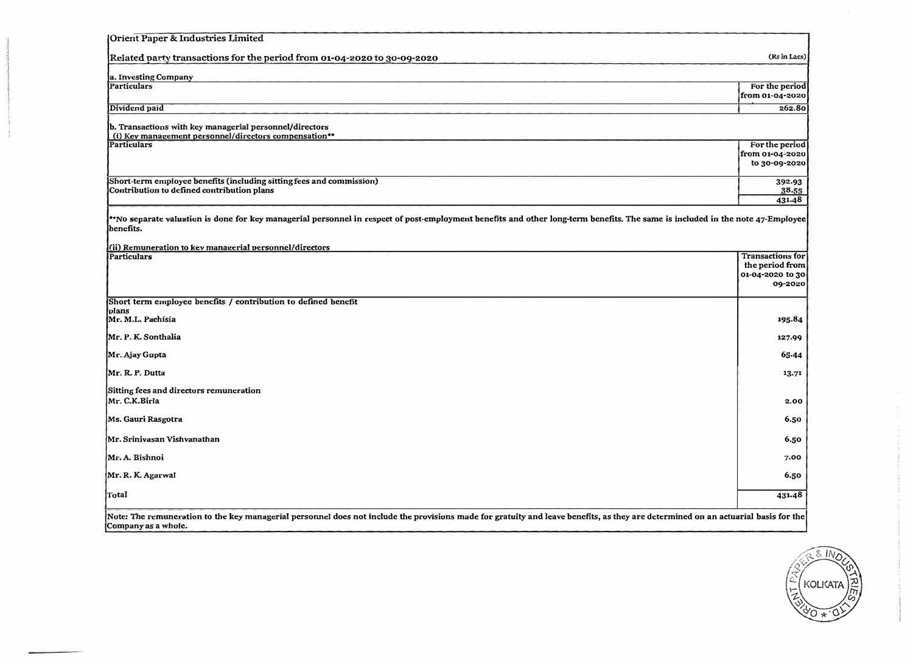| Orient Paper & Industries Limited                                                                                                                                                          |                                     |
|--------------------------------------------------------------------------------------------------------------------------------------------------------------------------------------------|-------------------------------------|
| Related party transactions for the period from 01-04-2020 to 30-09-2020                                                                                                                    | (Rs in Lacs)                        |
| a. Investing Company                                                                                                                                                                       |                                     |
| <b>Particulars</b>                                                                                                                                                                         | For the period                      |
|                                                                                                                                                                                            | from 01-04-2020                     |
| Dividend paid                                                                                                                                                                              | 262.80                              |
| b. Transactions with key managerial personnel/directors<br>(i) Key management personnel/directors compensation**                                                                           |                                     |
| <b>Particulars</b>                                                                                                                                                                         | For the period                      |
|                                                                                                                                                                                            | from 01-04-2020                     |
|                                                                                                                                                                                            | to 30-09-2020                       |
| Short-term employee benefits (including sitting fees and commission)                                                                                                                       | 392.93                              |
| Contribution to defined contribution plans                                                                                                                                                 | 38.55                               |
|                                                                                                                                                                                            | 431.48                              |
| *No separate valuation is done for key managerial personnel in respect of post-employment benefits and other long-term benefits. The same is included in the note 47-Employee<br>benefits. |                                     |
| (ii) Remuneration to key managerial personnel/directors                                                                                                                                    |                                     |
| <b>Particulars</b>                                                                                                                                                                         | <b>Transactions for</b>             |
|                                                                                                                                                                                            | the period from<br>01-04-2020 to 30 |
|                                                                                                                                                                                            | 09-2020                             |
| Short term employee benefits / contribution to defined benefit                                                                                                                             |                                     |
| plans                                                                                                                                                                                      |                                     |
| Mr. M.L. Pachisia                                                                                                                                                                          | 195.84                              |
| Mr. P. K. Sonthalia                                                                                                                                                                        | 127.99                              |
| Mr. Ajay Gupta                                                                                                                                                                             | 65.44                               |
| Mr. R. P. Dutta                                                                                                                                                                            | 13.71                               |
| Sitting fees and directors remuneration                                                                                                                                                    |                                     |
| Mr. C.K.Birla                                                                                                                                                                              | 2,00                                |
| Ms. Gauri Rasgotra                                                                                                                                                                         | 6.50                                |
| Mr. Sriniyasan Vishvanathan                                                                                                                                                                | 6.50                                |
| Mr. A. Bishnoi                                                                                                                                                                             | 7.00                                |
|                                                                                                                                                                                            |                                     |
| Mr. R. K. Agarwal                                                                                                                                                                          | 6.50                                |
| Total                                                                                                                                                                                      | 431.48                              |
|                                                                                                                                                                                            |                                     |

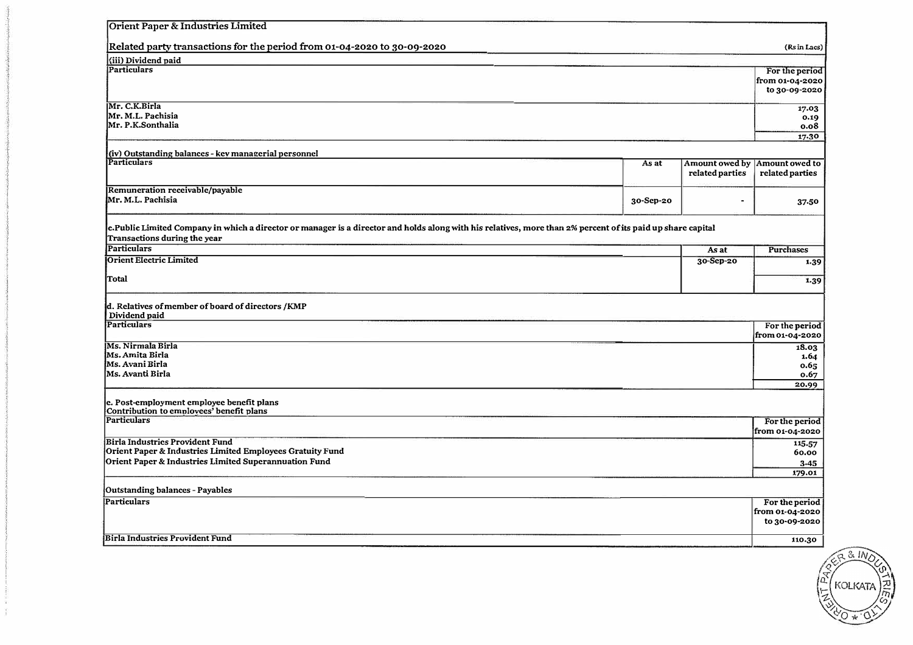| (iii) Dividend paid<br>For the period<br>from 01-04-2020<br>17.03<br>Mr. M.L. Pachisia<br>0.19<br>Mr. P.K.Sonthalia<br>0.08<br>17.30<br>(iv) Outstanding balances - key managerial personnel<br>Amount owed by<br>As at<br>related parties<br>related parties<br>Mr. M.L. Pachisia<br>30-Sep-20<br>37.50<br>$\blacksquare$<br>c.Public Limited Company in which a director or manager is a director and holds along with his relatives, more than 2% percent of its paid up share capital<br><b>Particulars</b><br><b>Purchases</b><br>As at<br>Orient Electric Limited<br>30-Sep-20<br>Dividend paid<br>For the period<br>from 01-04-2020<br>18.03<br>1.64<br>0.65<br> Ms. Avanti Birla<br>0.67<br>20.99<br>Contribution to employees' benefit plans<br>Particulars<br>For the period<br>from 01-04-2020<br><b>Birla Industries Provident Fund</b><br>115-57<br>Orient Paper & Industries Limited Employees Gratuity Fund<br>60.00<br>Orient Paper & Industries Limited Superannuation Fund<br>3.45<br>179.01<br>Outstanding balances - Payables<br>For the period<br>from 01-04-2020<br>110.30 | Orient Paper & Industries Limited                                       |  |                |
|--------------------------------------------------------------------------------------------------------------------------------------------------------------------------------------------------------------------------------------------------------------------------------------------------------------------------------------------------------------------------------------------------------------------------------------------------------------------------------------------------------------------------------------------------------------------------------------------------------------------------------------------------------------------------------------------------------------------------------------------------------------------------------------------------------------------------------------------------------------------------------------------------------------------------------------------------------------------------------------------------------------------------------------------------------------------------------------------------|-------------------------------------------------------------------------|--|----------------|
|                                                                                                                                                                                                                                                                                                                                                                                                                                                                                                                                                                                                                                                                                                                                                                                                                                                                                                                                                                                                                                                                                                  | Related party transactions for the period from 01-04-2020 to 30-09-2020 |  | (Rs in Lacs)   |
|                                                                                                                                                                                                                                                                                                                                                                                                                                                                                                                                                                                                                                                                                                                                                                                                                                                                                                                                                                                                                                                                                                  |                                                                         |  |                |
|                                                                                                                                                                                                                                                                                                                                                                                                                                                                                                                                                                                                                                                                                                                                                                                                                                                                                                                                                                                                                                                                                                  | <b>Particulars</b>                                                      |  |                |
|                                                                                                                                                                                                                                                                                                                                                                                                                                                                                                                                                                                                                                                                                                                                                                                                                                                                                                                                                                                                                                                                                                  |                                                                         |  |                |
|                                                                                                                                                                                                                                                                                                                                                                                                                                                                                                                                                                                                                                                                                                                                                                                                                                                                                                                                                                                                                                                                                                  |                                                                         |  | to 30-09-2020  |
|                                                                                                                                                                                                                                                                                                                                                                                                                                                                                                                                                                                                                                                                                                                                                                                                                                                                                                                                                                                                                                                                                                  | Mr. C.K.Birla                                                           |  |                |
|                                                                                                                                                                                                                                                                                                                                                                                                                                                                                                                                                                                                                                                                                                                                                                                                                                                                                                                                                                                                                                                                                                  |                                                                         |  |                |
|                                                                                                                                                                                                                                                                                                                                                                                                                                                                                                                                                                                                                                                                                                                                                                                                                                                                                                                                                                                                                                                                                                  |                                                                         |  |                |
|                                                                                                                                                                                                                                                                                                                                                                                                                                                                                                                                                                                                                                                                                                                                                                                                                                                                                                                                                                                                                                                                                                  |                                                                         |  |                |
|                                                                                                                                                                                                                                                                                                                                                                                                                                                                                                                                                                                                                                                                                                                                                                                                                                                                                                                                                                                                                                                                                                  |                                                                         |  |                |
|                                                                                                                                                                                                                                                                                                                                                                                                                                                                                                                                                                                                                                                                                                                                                                                                                                                                                                                                                                                                                                                                                                  | <b>Particulars</b>                                                      |  | Amount owed to |
|                                                                                                                                                                                                                                                                                                                                                                                                                                                                                                                                                                                                                                                                                                                                                                                                                                                                                                                                                                                                                                                                                                  |                                                                         |  |                |
|                                                                                                                                                                                                                                                                                                                                                                                                                                                                                                                                                                                                                                                                                                                                                                                                                                                                                                                                                                                                                                                                                                  | Remuneration receivable/payable                                         |  |                |
|                                                                                                                                                                                                                                                                                                                                                                                                                                                                                                                                                                                                                                                                                                                                                                                                                                                                                                                                                                                                                                                                                                  |                                                                         |  |                |
|                                                                                                                                                                                                                                                                                                                                                                                                                                                                                                                                                                                                                                                                                                                                                                                                                                                                                                                                                                                                                                                                                                  | Transactions during the year                                            |  |                |
|                                                                                                                                                                                                                                                                                                                                                                                                                                                                                                                                                                                                                                                                                                                                                                                                                                                                                                                                                                                                                                                                                                  |                                                                         |  |                |
|                                                                                                                                                                                                                                                                                                                                                                                                                                                                                                                                                                                                                                                                                                                                                                                                                                                                                                                                                                                                                                                                                                  |                                                                         |  | 1.39           |
|                                                                                                                                                                                                                                                                                                                                                                                                                                                                                                                                                                                                                                                                                                                                                                                                                                                                                                                                                                                                                                                                                                  | Total                                                                   |  | 1.39           |
|                                                                                                                                                                                                                                                                                                                                                                                                                                                                                                                                                                                                                                                                                                                                                                                                                                                                                                                                                                                                                                                                                                  | d. Relatives of member of board of directors /KMP                       |  |                |
|                                                                                                                                                                                                                                                                                                                                                                                                                                                                                                                                                                                                                                                                                                                                                                                                                                                                                                                                                                                                                                                                                                  | Particulars                                                             |  |                |
|                                                                                                                                                                                                                                                                                                                                                                                                                                                                                                                                                                                                                                                                                                                                                                                                                                                                                                                                                                                                                                                                                                  |                                                                         |  |                |
|                                                                                                                                                                                                                                                                                                                                                                                                                                                                                                                                                                                                                                                                                                                                                                                                                                                                                                                                                                                                                                                                                                  | Ms. Nirmala Birla                                                       |  |                |
|                                                                                                                                                                                                                                                                                                                                                                                                                                                                                                                                                                                                                                                                                                                                                                                                                                                                                                                                                                                                                                                                                                  | Ms. Amita Birla                                                         |  |                |
|                                                                                                                                                                                                                                                                                                                                                                                                                                                                                                                                                                                                                                                                                                                                                                                                                                                                                                                                                                                                                                                                                                  | Ms. Avani Birla                                                         |  |                |
|                                                                                                                                                                                                                                                                                                                                                                                                                                                                                                                                                                                                                                                                                                                                                                                                                                                                                                                                                                                                                                                                                                  |                                                                         |  |                |
|                                                                                                                                                                                                                                                                                                                                                                                                                                                                                                                                                                                                                                                                                                                                                                                                                                                                                                                                                                                                                                                                                                  |                                                                         |  |                |
|                                                                                                                                                                                                                                                                                                                                                                                                                                                                                                                                                                                                                                                                                                                                                                                                                                                                                                                                                                                                                                                                                                  | e. Post-employment employee benefit plans                               |  |                |
|                                                                                                                                                                                                                                                                                                                                                                                                                                                                                                                                                                                                                                                                                                                                                                                                                                                                                                                                                                                                                                                                                                  |                                                                         |  |                |
|                                                                                                                                                                                                                                                                                                                                                                                                                                                                                                                                                                                                                                                                                                                                                                                                                                                                                                                                                                                                                                                                                                  |                                                                         |  |                |
|                                                                                                                                                                                                                                                                                                                                                                                                                                                                                                                                                                                                                                                                                                                                                                                                                                                                                                                                                                                                                                                                                                  |                                                                         |  |                |
|                                                                                                                                                                                                                                                                                                                                                                                                                                                                                                                                                                                                                                                                                                                                                                                                                                                                                                                                                                                                                                                                                                  |                                                                         |  |                |
|                                                                                                                                                                                                                                                                                                                                                                                                                                                                                                                                                                                                                                                                                                                                                                                                                                                                                                                                                                                                                                                                                                  |                                                                         |  |                |
|                                                                                                                                                                                                                                                                                                                                                                                                                                                                                                                                                                                                                                                                                                                                                                                                                                                                                                                                                                                                                                                                                                  |                                                                         |  |                |
|                                                                                                                                                                                                                                                                                                                                                                                                                                                                                                                                                                                                                                                                                                                                                                                                                                                                                                                                                                                                                                                                                                  |                                                                         |  |                |
|                                                                                                                                                                                                                                                                                                                                                                                                                                                                                                                                                                                                                                                                                                                                                                                                                                                                                                                                                                                                                                                                                                  | Particulars                                                             |  |                |
|                                                                                                                                                                                                                                                                                                                                                                                                                                                                                                                                                                                                                                                                                                                                                                                                                                                                                                                                                                                                                                                                                                  |                                                                         |  |                |
|                                                                                                                                                                                                                                                                                                                                                                                                                                                                                                                                                                                                                                                                                                                                                                                                                                                                                                                                                                                                                                                                                                  |                                                                         |  | to 30-09-2020  |
|                                                                                                                                                                                                                                                                                                                                                                                                                                                                                                                                                                                                                                                                                                                                                                                                                                                                                                                                                                                                                                                                                                  | Birla Industries Provident Fund                                         |  |                |

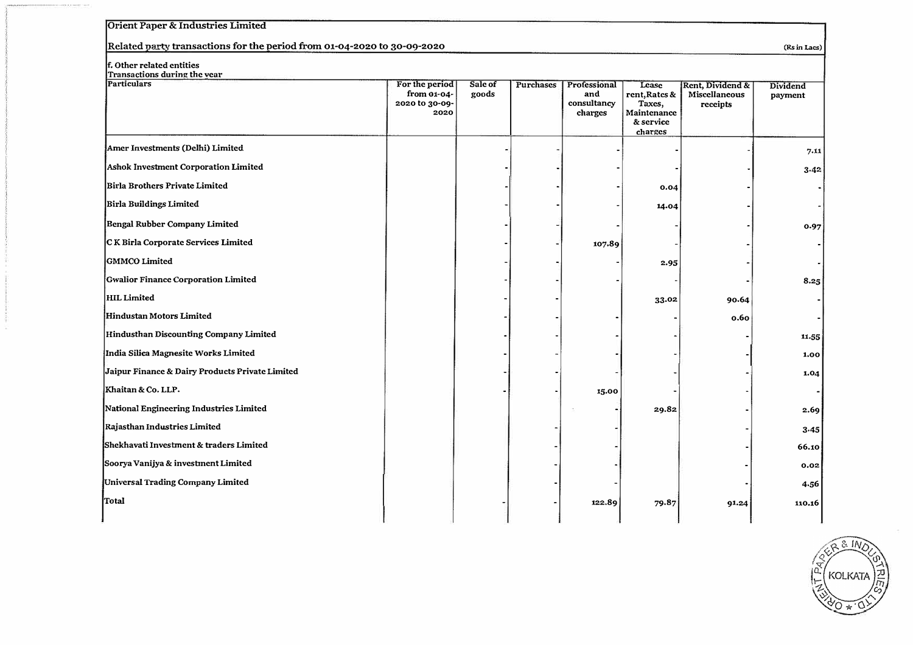### **Orient Paper & Industries Limited**

### Related party transactions for the period from 01-04-2020 to 30-09-2020 *(Rsin Lacs)* (Rsin Lacs)

#### **f. Other related entities**

| Transactions during the year                    |                                                         |                  |           |                                               |                                                                         |                                               |                     |
|-------------------------------------------------|---------------------------------------------------------|------------------|-----------|-----------------------------------------------|-------------------------------------------------------------------------|-----------------------------------------------|---------------------|
| <b>Particulars</b>                              | For the period<br>from 01-04-<br>2020 to 30-09-<br>2020 | Sale of<br>goods | Purchases | Professional<br>and<br>consultancy<br>charges | Lease<br>rent, Rates &<br>Taxes,<br>Maintenance<br>& service<br>charges | Rent, Dividend &<br>Miscellaneous<br>receipts | Dividend<br>payment |
| Amer Investments (Delhi) Limited                |                                                         |                  |           |                                               |                                                                         |                                               | 7.11                |
| Ashok Investment Corporation Limited            |                                                         |                  |           |                                               |                                                                         |                                               | 3.42                |
| Birla Brothers Private Limited                  |                                                         |                  |           |                                               | 0.04                                                                    |                                               |                     |
| Birla Buildings Limited                         |                                                         |                  |           |                                               | 14.04                                                                   |                                               |                     |
| <b>Bengal Rubber Company Limited</b>            |                                                         |                  |           |                                               |                                                                         |                                               | 0.97                |
| CK Birla Corporate Services Limited             |                                                         |                  |           | 107.89                                        |                                                                         |                                               |                     |
| GMMCO Limited                                   |                                                         |                  |           |                                               | 2.95                                                                    |                                               |                     |
| Gwalior Finance Corporation Limited             |                                                         |                  |           |                                               |                                                                         |                                               | 8.25                |
| <b>HIL Limited</b>                              |                                                         |                  |           |                                               | 33.02                                                                   | 90.64                                         |                     |
| Hindustan Motors Limited                        |                                                         |                  |           |                                               |                                                                         | 0.60                                          |                     |
| Hindusthan Discounting Company Limited          |                                                         |                  |           |                                               |                                                                         |                                               | 11.55               |
| India Silica Magnesite Works Limited            |                                                         |                  |           |                                               |                                                                         |                                               | 1,00                |
| Jaipur Finance & Dairy Products Private Limited |                                                         |                  |           |                                               |                                                                         |                                               | 1.04                |
| Khaitan & Co. LLP.                              |                                                         |                  |           | 15.00                                         |                                                                         |                                               |                     |
| National Engineering Industries Limited         |                                                         |                  |           |                                               | 29.82                                                                   |                                               | 2.69                |
| Rajasthan Industries Limited                    |                                                         |                  |           |                                               |                                                                         |                                               | 3.45                |
| Shekhavati Investment & traders Limited         |                                                         |                  |           |                                               |                                                                         |                                               | 66.10               |
| Soorya Vanijya & investment Limited             |                                                         |                  |           |                                               |                                                                         |                                               | 0.02                |
| Universal Trading Company Limited               |                                                         |                  |           |                                               |                                                                         |                                               | 4.56                |
| Total                                           |                                                         |                  |           | 122.89                                        | 79.87                                                                   | 91.24                                         | 110.16              |